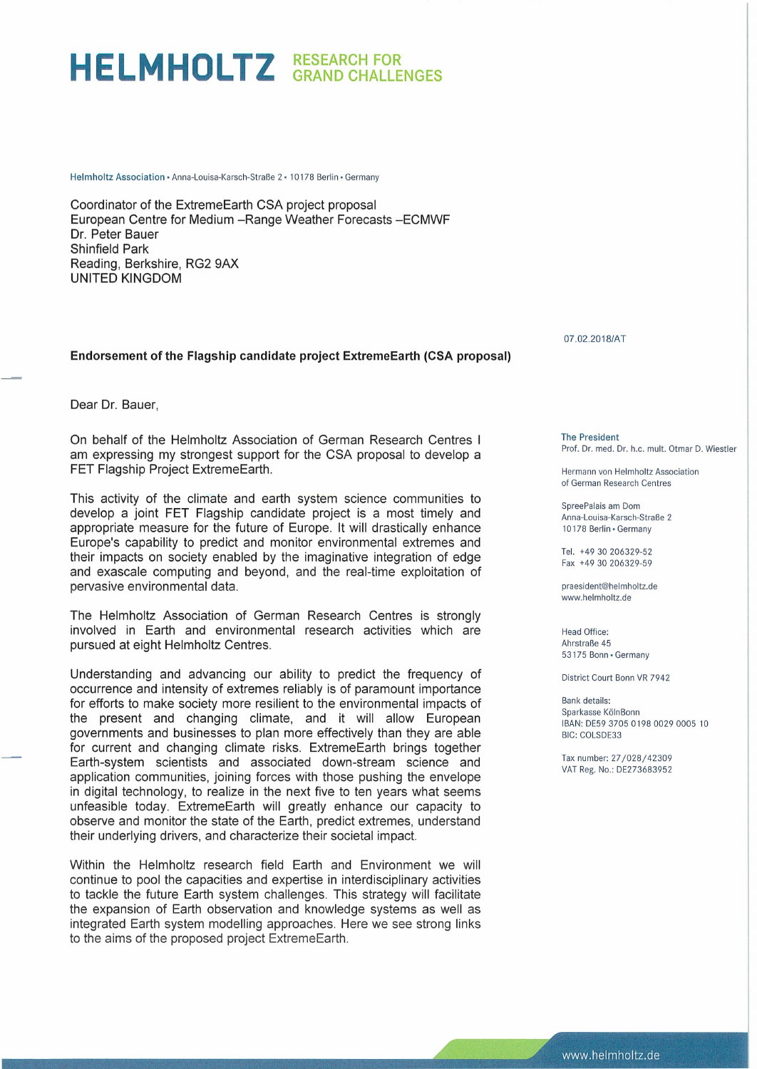## **HELMHOLTZ RESEARCH FOR GRAND CHALLENGES**

Helmholtz Association · Anna-Louisa-Karsch-Straße 2 · 10178 Berlin · Germany

Coordinator of the ExtremeEarth CSA project proposal European Centre for Medium -Range Weather Forecasts -ECMWF Dr. Peter Bauer Shinfield Park Reading, Berkshire, RG2 9AX UNITED KINGDOM

## **Endorsement of the Flagship candidate project ExtremeEarth (CSA proposal)**

Dear Dr. Bauer,

On behalf of the Helmholtz Association of German Research Centres I am expressing my strongest support for the CSA proposal to develop a FET Flagship Project ExtremeEarth.

This activity of the climate and earth system science communities to develop a joint FET Flagship candidate project is a most timely and appropriate measure for the future of Europe. It will drastically enhance Europe's capability to predict and monitor environmental extremes and their impacts on society enabled by the imaginative integration of edge and exascale computing and beyond, and the real-time exploitation of pervasive environmental data.

The Helmholtz Association of German Research Centres is strongly involved in Earth and environmental research activities which are pursued at eight Helmholtz Centres.

Understanding and advancing our ability to predict the frequency of occurrence and intensity of extremes reliably is of paramount importance for efforts to make society more resilient to the environmental impacts of the present and changing climate, and it will allow European governments and businesses to plan more effectively than they are able for current and changing climate risks. ExtremeEarth brings together Earth-system scientists and associated down-stream science and application communities, joining forces with those pushing the envelope in digital technology, to realize in the next five to ten years what seems unfeasible today. ExtremeEarth will greatly enhance our capacity to observe and monitor the state of the Earth, predict extremes, understand their underlying drivers, and characterize their societal impact.

Within the Helmholtz research field Earth and Environment we will continue to pool the capacities and expertise in interdisciplinary activities to tackle the future Earth system challenges. This strategy will facilitate the expansion of Earth observation and knowledge systems as well as integrated Earth system modelling approaches. Here we see strong links to the aims of the proposed project ExtremeEarth.

07.02.2018/AT

The President Prof. Dr. med. Dr. h.c. mult. Otmar D. Wiestler

Hermann von Helmholtz Association of German Research Centres

SpreePalais am Dorn Anna-Louisa-Karsch-Straße 2 10178 Berlin · Germany

Tel. +49 30 206329-52 Fax +49 30 206329-59

praesident@helmholtz.de www.helmholtz.de

Head Office: Ahrstraße 45 53175 Bonn · Germany

District Court Bonn VR 7942

Bank details: Sparkasse KölnBonn IBAN: DE59 3705 0198 0029 0005 10 BIC: COLSDE33

Tax number: 27/028/42309 VAT Reg. No.: DE273683952